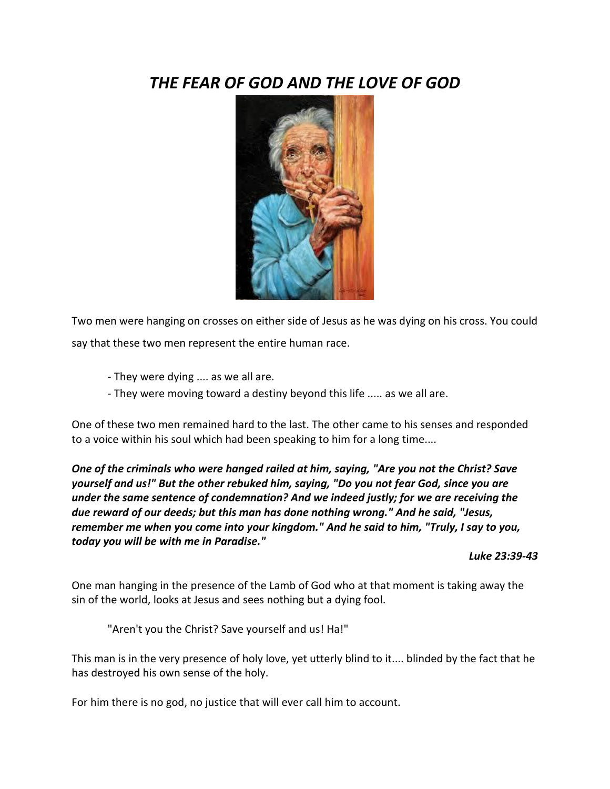# *THE FEAR OF GOD AND THE LOVE OF GOD*



Two men were hanging on crosses on either side of Jesus as he was dying on his cross. You could say that these two men represent the entire human race.

- They were dying .... as we all are.
- They were moving toward a destiny beyond this life ..... as we all are.

One of these two men remained hard to the last. The other came to his senses and responded to a voice within his soul which had been speaking to him for a long time....

*One of the criminals who were hanged railed at him, saying, "Are you not the Christ? Save yourself and us!" But the other rebuked him, saying, "Do you not fear God, since you are under the same sentence of condemnation? And we indeed justly; for we are receiving the due reward of our deeds; but this man has done nothing wrong." And he said, "Jesus, remember me when you come into your kingdom." And he said to him, "Truly, I say to you, today you will be with me in Paradise."* 

*Luke 23:39-43*

One man hanging in the presence of the Lamb of God who at that moment is taking away the sin of the world, looks at Jesus and sees nothing but a dying fool.

"Aren't you the Christ? Save yourself and us! Ha!"

This man is in the very presence of holy love, yet utterly blind to it.... blinded by the fact that he has destroyed his own sense of the holy.

For him there is no god, no justice that will ever call him to account.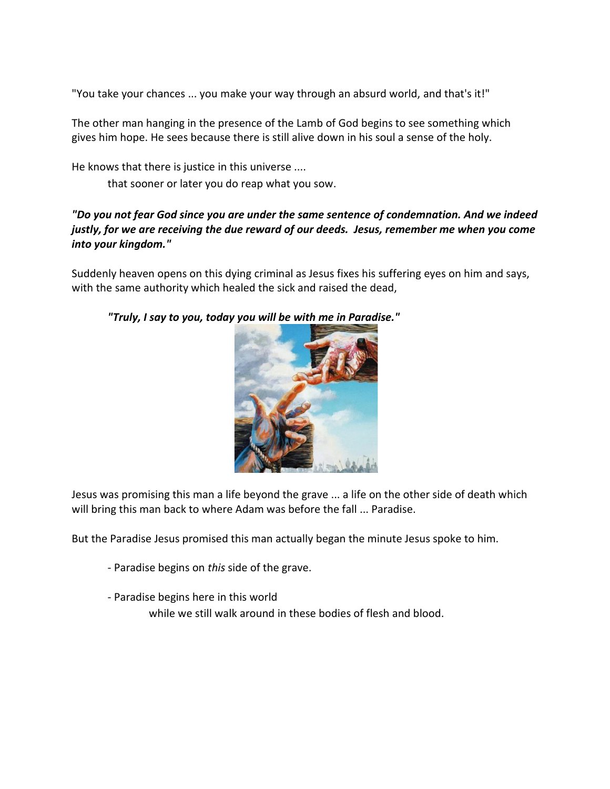"You take your chances ... you make your way through an absurd world, and that's it!"

The other man hanging in the presence of the Lamb of God begins to see something which gives him hope. He sees because there is still alive down in his soul a sense of the holy.

He knows that there is justice in this universe ....

that sooner or later you do reap what you sow.

#### *"Do you not fear God since you are under the same sentence of condemnation. And we indeed justly, for we are receiving the due reward of our deeds. Jesus, remember me when you come into your kingdom."*

Suddenly heaven opens on this dying criminal as Jesus fixes his suffering eyes on him and says, with the same authority which healed the sick and raised the dead,



*"Truly, I say to you, today you will be with me in Paradise."*

Jesus was promising this man a life beyond the grave ... a life on the other side of death which will bring this man back to where Adam was before the fall ... Paradise.

But the Paradise Jesus promised this man actually began the minute Jesus spoke to him.

- Paradise begins on *this* side of the grave.
- Paradise begins here in this world

while we still walk around in these bodies of flesh and blood.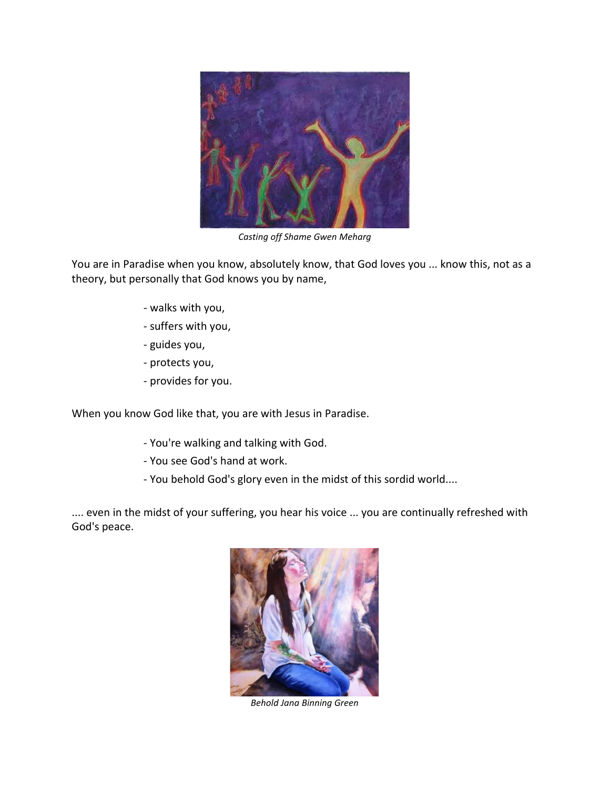

*Casting off Shame Gwen Meharg*

You are in Paradise when you know, absolutely know, that God loves you ... know this, not as a theory, but personally that God knows you by name,

- walks with you,
- suffers with you,
- guides you,
- protects you,
- provides for you.

When you know God like that, you are with Jesus in Paradise.

- You're walking and talking with God.
- You see God's hand at work.
- You behold God's glory even in the midst of this sordid world....

.... even in the midst of your suffering, you hear his voice ... you are continually refreshed with God's peace.



*Behold Jana Binning Green*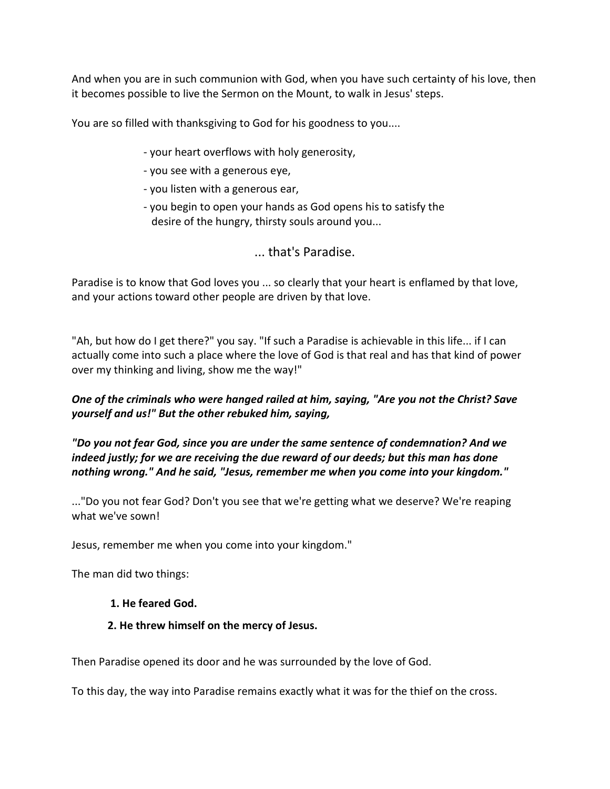And when you are in such communion with God, when you have such certainty of his love, then it becomes possible to live the Sermon on the Mount, to walk in Jesus' steps.

You are so filled with thanksgiving to God for his goodness to you....

- your heart overflows with holy generosity,
- you see with a generous eye,
- you listen with a generous ear,
- you begin to open your hands as God opens his to satisfy the desire of the hungry, thirsty souls around you...

## ... that's Paradise.

Paradise is to know that God loves you ... so clearly that your heart is enflamed by that love, and your actions toward other people are driven by that love.

"Ah, but how do I get there?" you say. "If such a Paradise is achievable in this life... if I can actually come into such a place where the love of God is that real and has that kind of power over my thinking and living, show me the way!"

## *One of the criminals who were hanged railed at him, saying, "Are you not the Christ? Save yourself and us!" But the other rebuked him, saying,*

*"Do you not fear God, since you are under the same sentence of condemnation? And we indeed justly; for we are receiving the due reward of our deeds; but this man has done nothing wrong." And he said, "Jesus, remember me when you come into your kingdom."*

..."Do you not fear God? Don't you see that we're getting what we deserve? We're reaping what we've sown!

Jesus, remember me when you come into your kingdom."

The man did two things:

#### **1. He feared God.**

#### **2. He threw himself on the mercy of Jesus.**

Then Paradise opened its door and he was surrounded by the love of God.

To this day, the way into Paradise remains exactly what it was for the thief on the cross.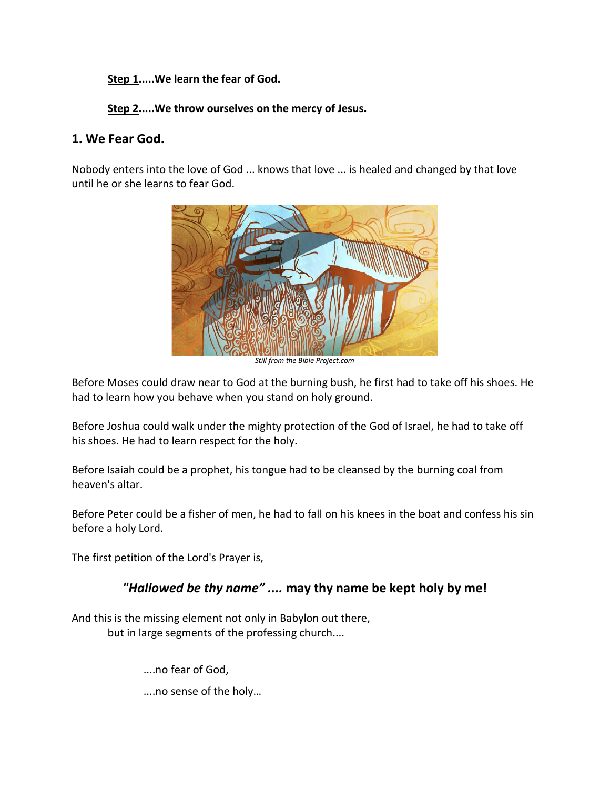**Step 1.....We learn the fear of God.**

**Step 2.....We throw ourselves on the mercy of Jesus.**

## **1. We Fear God.**

Nobody enters into the love of God ... knows that love ... is healed and changed by that love until he or she learns to fear God.



*Still from the Bible Project.com*

Before Moses could draw near to God at the burning bush, he first had to take off his shoes. He had to learn how you behave when you stand on holy ground.

Before Joshua could walk under the mighty protection of the God of Israel, he had to take off his shoes. He had to learn respect for the holy.

Before Isaiah could be a prophet, his tongue had to be cleansed by the burning coal from heaven's altar.

Before Peter could be a fisher of men, he had to fall on his knees in the boat and confess his sin before a holy Lord.

The first petition of the Lord's Prayer is,

## *"Hallowed be thy name" ....* **may thy name be kept holy by me!**

And this is the missing element not only in Babylon out there, but in large segments of the professing church....

....no fear of God,

....no sense of the holy…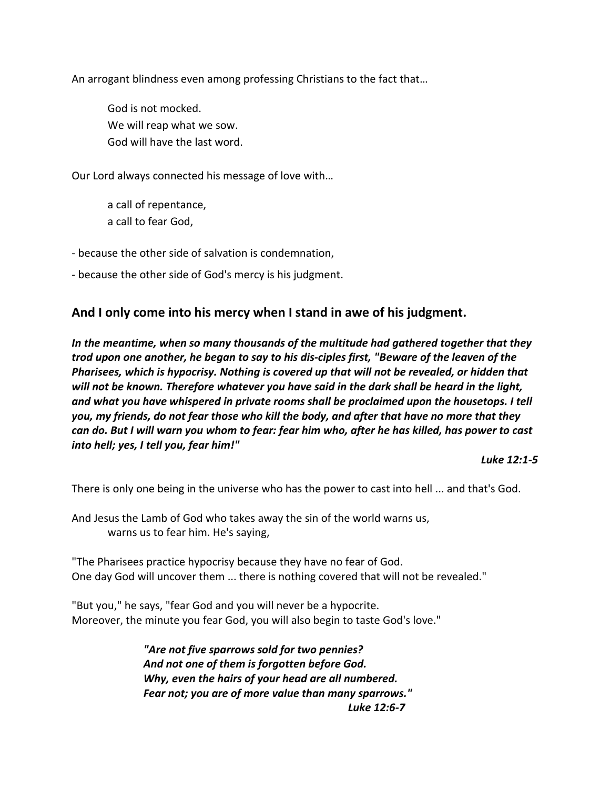An arrogant blindness even among professing Christians to the fact that…

God is not mocked. We will reap what we sow. God will have the last word.

Our Lord always connected his message of love with…

a call of repentance, a call to fear God,

- because the other side of salvation is condemnation,

- because the other side of God's mercy is his judgment.

#### **And I only come into his mercy when I stand in awe of his judgment.**

*In the meantime, when so many thousands of the multitude had gathered together that they trod upon one another, he began to say to his dis-ciples first, "Beware of the leaven of the Pharisees, which is hypocrisy. Nothing is covered up that will not be revealed, or hidden that will not be known. Therefore whatever you have said in the dark shall be heard in the light, and what you have whispered in private rooms shall be proclaimed upon the housetops. I tell you, my friends, do not fear those who kill the body, and after that have no more that they can do. But I will warn you whom to fear: fear him who, after he has killed, has power to cast into hell; yes, I tell you, fear him!"* 

*Luke 12:1-5*

There is only one being in the universe who has the power to cast into hell ... and that's God.

And Jesus the Lamb of God who takes away the sin of the world warns us, warns us to fear him. He's saying,

"The Pharisees practice hypocrisy because they have no fear of God. One day God will uncover them ... there is nothing covered that will not be revealed."

"But you," he says, "fear God and you will never be a hypocrite. Moreover, the minute you fear God, you will also begin to taste God's love."

> *"Are not five sparrows sold for two pennies? And not one of them is forgotten before God. Why, even the hairs of your head are all numbered. Fear not; you are of more value than many sparrows." Luke 12:6-7*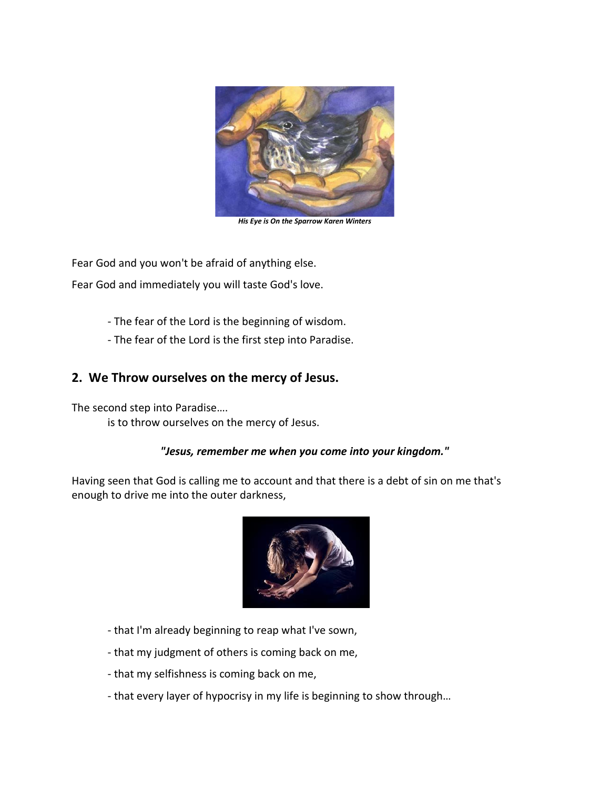

*His Eye is On the Sparrow Karen Winters*

Fear God and you won't be afraid of anything else.

Fear God and immediately you will taste God's love.

- The fear of the Lord is the beginning of wisdom.
- The fear of the Lord is the first step into Paradise.

## **2. We Throw ourselves on the mercy of Jesus.**

The second step into Paradise…. is to throw ourselves on the mercy of Jesus.

#### *"Jesus, remember me when you come into your kingdom."*

Having seen that God is calling me to account and that there is a debt of sin on me that's enough to drive me into the outer darkness,



- that I'm already beginning to reap what I've sown,
- that my judgment of others is coming back on me,
- that my selfishness is coming back on me,
- that every layer of hypocrisy in my life is beginning to show through…